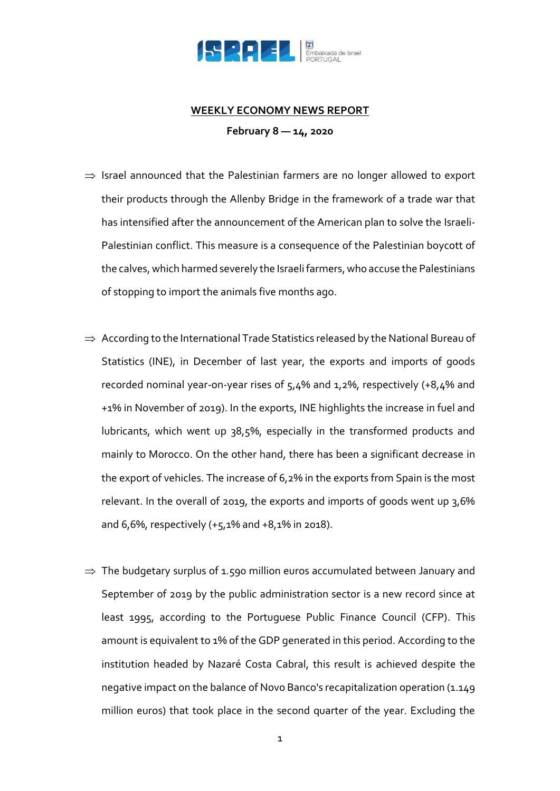

## **WEEKLY ECONOMY NEWS REPORT**

**February 8 — 14, 2020**

- $\Rightarrow$  Israel announced that the Palestinian farmers are no longer allowed to export their products through the Allenby Bridge in the framework of a trade war that has intensified after the announcement of the American plan to solve the Israeli-Palestinian conflict. This measure is a consequence of the Palestinian boycott of the calves, which harmed severely the Israeli farmers, who accuse the Palestinians of stopping to import the animals five months ago.
- $\Rightarrow$  According to the International Trade Statistics released by the National Bureau of Statistics (INE), in December of last year, the exports and imports of goods recorded nominal year-on-year rises of 5,4% and 1,2%, respectively (+8,4% and +1% in November of 2019). In the exports, INE highlights the increase in fuel and lubricants, which went up 38,5%, especially in the transformed products and mainly to Morocco. On the other hand, there has been a significant decrease in the export of vehicles. The increase of 6,2% in the exports from Spain is the most relevant. In the overall of 2019, the exports and imports of goods went up 3,6% and 6,6%, respectively (+5,1% and +8,1% in 2018).
- $\Rightarrow$  The budgetary surplus of 1.590 million euros accumulated between January and September of 2019 by the public administration sector is a new record since at least 1995, according to the Portuguese Public Finance Council (CFP). This amount is equivalent to 1% of the GDP generated in this period. According to the institution headed by Nazaré Costa Cabral, this result is achieved despite the negative impact on the balance of Novo Banco's recapitalization operation (1.149 million euros) that took place in the second quarter of the year. Excluding the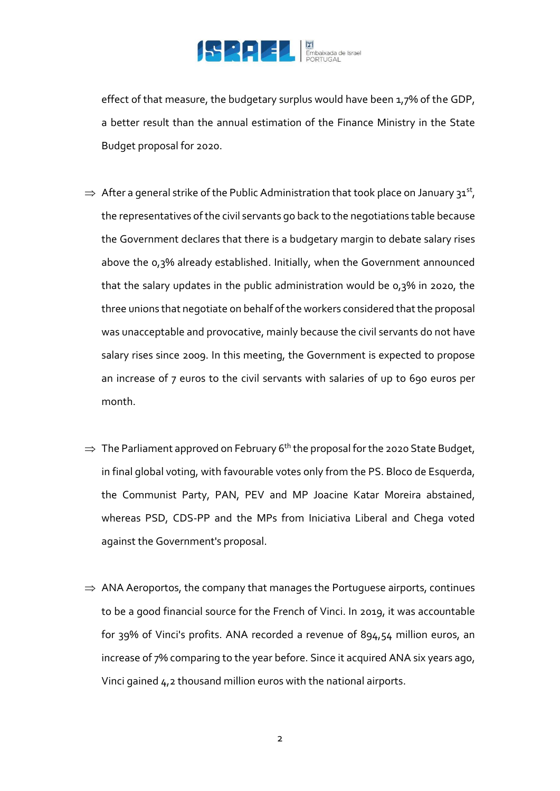

effect of that measure, the budgetary surplus would have been 1,7% of the GDP, a better result than the annual estimation of the Finance Ministry in the State Budget proposal for 2020.

- $\Rightarrow$  After a general strike of the Public Administration that took place on January 31st, the representatives of the civil servants go back to the negotiations table because the Government declares that there is a budgetary margin to debate salary rises above the 0,3% already established. Initially, when the Government announced that the salary updates in the public administration would be 0,3% in 2020, the three unions that negotiate on behalf of the workers considered that the proposal was unacceptable and provocative, mainly because the civil servants do not have salary rises since 2009. In this meeting, the Government is expected to propose an increase of 7 euros to the civil servants with salaries of up to 690 euros per month.
- $\Rightarrow$  The Parliament approved on February 6<sup>th</sup> the proposal for the 2020 State Budget, in final global voting, with favourable votes only from the PS. Bloco de Esquerda, the Communist Party, PAN, PEV and MP Joacine Katar Moreira abstained, whereas PSD, CDS-PP and the MPs from Iniciativa Liberal and Chega voted against the Government's proposal.
- $\Rightarrow$  ANA Aeroportos, the company that manages the Portuguese airports, continues to be a good financial source for the French of Vinci. In 2019, it was accountable for 39% of Vinci's profits. ANA recorded a revenue of 894,54 million euros, an increase of 7% comparing to the year before. Since it acquired ANA six years ago, Vinci gained 4,2 thousand million euros with the national airports.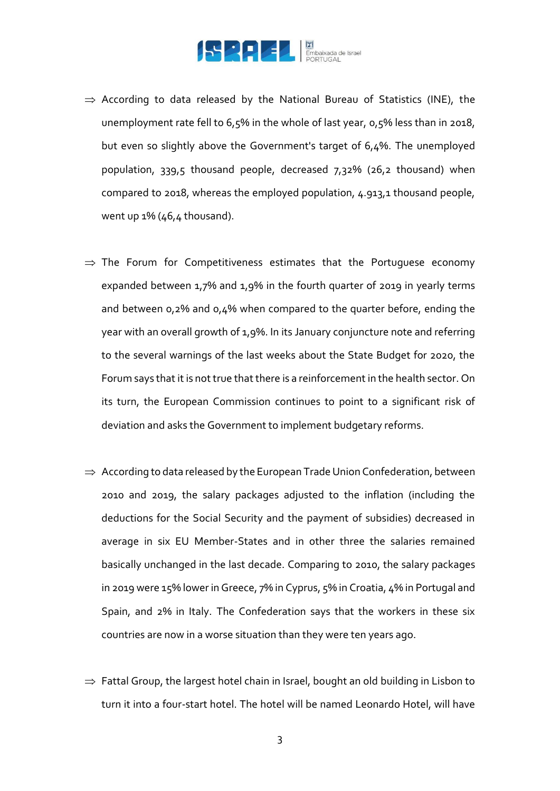

- $\Rightarrow$  According to data released by the National Bureau of Statistics (INE), the unemployment rate fell to 6,5% in the whole of last year, 0,5% less than in 2018, but even so slightly above the Government's target of 6,4%. The unemployed population, 339,5 thousand people, decreased 7,32% (26,2 thousand) when compared to 2018, whereas the employed population, 4.913,1 thousand people, went up 1% (46,4 thousand).
- $\Rightarrow$  The Forum for Competitiveness estimates that the Portuguese economy expanded between 1,7% and 1,9% in the fourth quarter of 2019 in yearly terms and between 0,2% and 0,4% when compared to the quarter before, ending the year with an overall growth of 1,9%. In its January conjuncture note and referring to the several warnings of the last weeks about the State Budget for 2020, the Forum says that it is not true that there is a reinforcement in the health sector. On its turn, the European Commission continues to point to a significant risk of deviation and asks the Government to implement budgetary reforms.
- $\Rightarrow$  According to data released by the European Trade Union Confederation, between 2010 and 2019, the salary packages adjusted to the inflation (including the deductions for the Social Security and the payment of subsidies) decreased in average in six EU Member-States and in other three the salaries remained basically unchanged in the last decade. Comparing to 2010, the salary packages in 2019 were 15% lower in Greece, 7% in Cyprus, 5% in Croatia, 4% in Portugal and Spain, and 2% in Italy. The Confederation says that the workers in these six countries are now in a worse situation than they were ten years ago.
- $\Rightarrow$  Fattal Group, the largest hotel chain in Israel, bought an old building in Lisbon to turn it into a four-start hotel. The hotel will be named Leonardo Hotel, will have